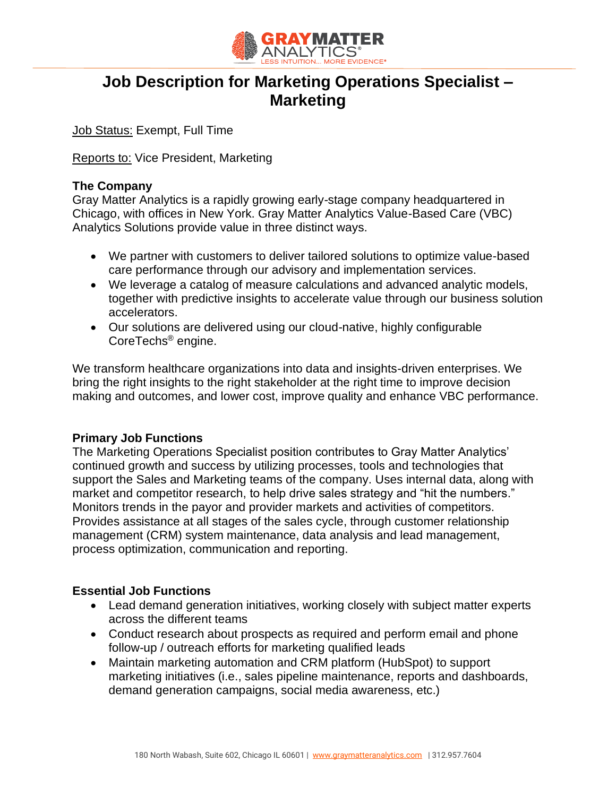

# **Job Description for Marketing Operations Specialist – Marketing**

Job Status: Exempt, Full Time

Reports to: Vice President, Marketing

### **The Company**

Gray Matter Analytics is a rapidly growing early-stage company headquartered in Chicago, with offices in New York. Gray Matter Analytics Value-Based Care (VBC) Analytics Solutions provide value in three distinct ways.

- We partner with customers to deliver tailored solutions to optimize value-based care performance through our advisory and implementation services.
- We leverage a catalog of measure calculations and advanced analytic models, together with predictive insights to accelerate value through our business solution accelerators.
- Our solutions are delivered using our cloud-native, highly configurable CoreTechs® engine.

We transform healthcare organizations into data and insights-driven enterprises. We bring the right insights to the right stakeholder at the right time to improve decision making and outcomes, and lower cost, improve quality and enhance VBC performance.

#### **Primary Job Functions**

The Marketing Operations Specialist position contributes to Gray Matter Analytics' continued growth and success by utilizing processes, tools and technologies that support the Sales and Marketing teams of the company. Uses internal data, along with market and competitor research, to help drive sales strategy and "hit the numbers." Monitors trends in the payor and provider markets and activities of competitors. Provides assistance at all stages of the sales cycle, through customer relationship management (CRM) system maintenance, data analysis and lead management, process optimization, communication and reporting.

#### **Essential Job Functions**

- Lead demand generation initiatives, working closely with subject matter experts across the different teams
- Conduct research about prospects as required and perform email and phone follow-up / outreach efforts for marketing qualified leads
- Maintain marketing automation and CRM platform (HubSpot) to support marketing initiatives (i.e., sales pipeline maintenance, reports and dashboards, demand generation campaigns, social media awareness, etc.)